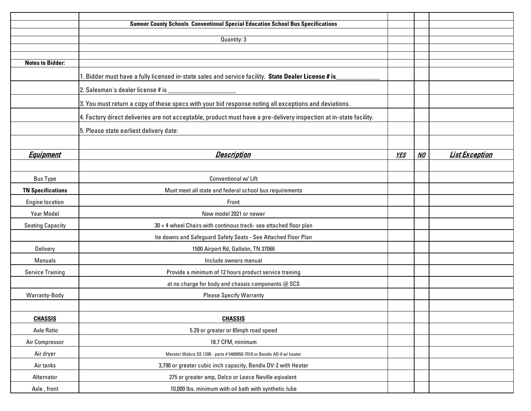|                          | <b>Sumner County Schools Conventional Special Education School Bus Specifications</b>                              |            |    |                       |
|--------------------------|--------------------------------------------------------------------------------------------------------------------|------------|----|-----------------------|
|                          |                                                                                                                    |            |    |                       |
|                          | Quantity: 3                                                                                                        |            |    |                       |
|                          |                                                                                                                    |            |    |                       |
| <b>Notes to Bidder:</b>  |                                                                                                                    |            |    |                       |
|                          | 1. Bidder must have a fully licensed in-state sales and service facility. State Dealer License # is                |            |    |                       |
|                          |                                                                                                                    |            |    |                       |
|                          | 3. You must return a copy of these specs with your bid response noting all exceptions and deviations.              |            |    |                       |
|                          | 4. Factory direct deliveries are not acceptable, product must have a pre-delivery inspection at in-state facility. |            |    |                       |
|                          | 5. Please state earliest delivery date:                                                                            |            |    |                       |
|                          |                                                                                                                    |            |    |                       |
| <b>Equipment</b>         | <b>Description</b>                                                                                                 | <b>YES</b> | NO | <b>List Exception</b> |
|                          |                                                                                                                    |            |    |                       |
| <b>Bus Type</b>          | Conventional w/ Lift                                                                                               |            |    |                       |
| <b>TN Specifications</b> | Must meet all state and federal school bus requirements                                                            |            |    |                       |
| <b>Engine location</b>   | Front                                                                                                              |            |    |                       |
| <b>Year Model</b>        | New model 2021 or newer                                                                                            |            |    |                       |
| <b>Seating Capacity</b>  | 30 + 4 wheel Chairs with continous track- see attached floor plan                                                  |            |    |                       |
|                          | tie downs and Safeguard Safety Seats - See Attached Floor Plan                                                     |            |    |                       |
| Delivery                 | 1500 Airport Rd, Gallatin, TN 37066                                                                                |            |    |                       |
| Manuals                  | Include owners manual                                                                                              |            |    |                       |
| <b>Service Training</b>  | Provide a minimum of 12 hours product service training                                                             |            |    |                       |
|                          | at no charge for body and chassis components @ SCS                                                                 |            |    |                       |
| Warranty-Body            | <b>Please Specify Warranty</b>                                                                                     |            |    |                       |
|                          |                                                                                                                    |            |    |                       |
| <b>CHASSIS</b>           | <b>CHASSIS</b>                                                                                                     |            |    |                       |
| Axle Ratio               | 5.29 or greater or 65mph road speed                                                                                |            |    |                       |
| Air Compressor           | 18.7 CFM, minimum                                                                                                  |            |    |                       |
| Air dryer                | Merator Wabco SS 1200 - parts # 5400850-7010 or Bendix AD-9 w/ heater                                              |            |    |                       |
| Air tanks                | 3,790 or greater cubic inch capacity, Bendix DV-2 with Heater                                                      |            |    |                       |
| Alternator               | 275 or greater amp, Delco or Leece Neville eqivalent                                                               |            |    |                       |
| Axle, front              | 10,000 lbs. minimum with oil bath with synthetic lube                                                              |            |    |                       |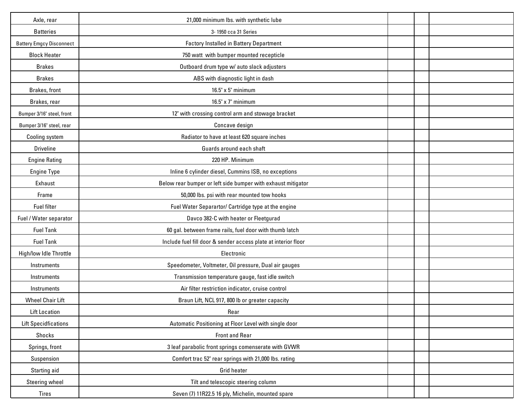| Axle, rear                      | 21,000 minimum lbs. with synthetic lube                        |  |  |
|---------------------------------|----------------------------------------------------------------|--|--|
| <b>Batteries</b>                | 3-1950 cca 31 Series                                           |  |  |
| <b>Battery Emgcy Disconnect</b> | <b>Factory Installed in Battery Department</b>                 |  |  |
| <b>Block Heater</b>             | 750 watt with bumper mounted recepticle                        |  |  |
| <b>Brakes</b>                   | Outboard drum type w/ auto slack adjusters                     |  |  |
| <b>Brakes</b>                   | ABS with diagnostic light in dash                              |  |  |
| Brakes, front                   | 16.5" x 5" minimum                                             |  |  |
| Brakes, rear                    | 16.5" x 7" minimum                                             |  |  |
| Bumper 3/16" steel, front       | 12" with crossing control arm and stowage bracket              |  |  |
| Bumper 3/16" steel, rear        | Concave design                                                 |  |  |
| Cooling system                  | Radiator to have at least 620 square inches                    |  |  |
| <b>Driveline</b>                | Guards around each shaft                                       |  |  |
| <b>Engine Rating</b>            | 220 HP. Minimum                                                |  |  |
| Engine Type                     | Inline 6 cylinder diesel, Cummins ISB, no exceptions           |  |  |
| Exhaust                         | Below rear bumper or left side bumper with exhaust mitigator   |  |  |
| Frame                           | 50,000 lbs. psi with rear mounted tow hooks                    |  |  |
| Fuel filter                     | Fuel Water Separartor/ Cartridge type at the engine            |  |  |
| Fuel / Water separator          | Davco 382-C with heater or Fleetgurad                          |  |  |
| <b>Fuel Tank</b>                | 60 gal. between frame rails, fuel door with thumb latch        |  |  |
| <b>Fuel Tank</b>                | Include fuel fill door & sender access plate at interior floor |  |  |
| High/low Idle Throttle          | Electronic                                                     |  |  |
| Instruments                     | Speedometer, Voltmeter, Oil pressure, Dual air gauges          |  |  |
| Instruments                     | Transmission temperature gauge, fast idle switch               |  |  |
| Instruments                     | Air filter restriction indicator, cruise control               |  |  |
| <b>Wheel Chair Lift</b>         | Braun Lift, NCL 917, 800 lb or greater capacity                |  |  |
| Lift Location                   | Rear                                                           |  |  |
| <b>Lift Specidfications</b>     | Automatic Positioning at Floor Level with single door          |  |  |
| Shocks                          | <b>Front and Rear</b>                                          |  |  |
| Springs, front                  | 3 leaf parabolic front springs comenserate with GVWR           |  |  |
| Suspension                      | Comfort trac 52" rear springs with 21,000 lbs. rating          |  |  |
| Starting aid                    | Grid heater                                                    |  |  |
| Steering wheel                  | Tilt and telescopic steering column                            |  |  |
| Tires                           | Seven (7) 11R22.5 16 ply, Michelin, mounted spare              |  |  |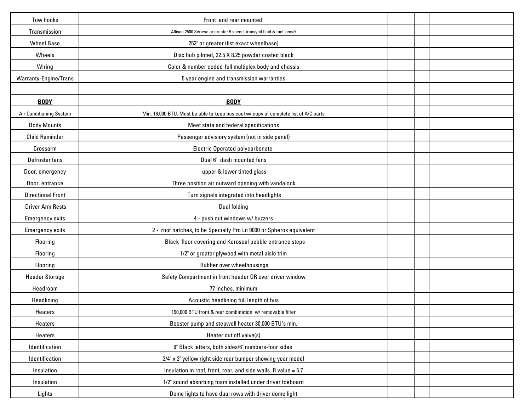| Tow hooks                | Front and rear mounted                                                               |  |  |
|--------------------------|--------------------------------------------------------------------------------------|--|--|
| Transmission             | Allison 2500 Seriesn or greater 5 speed, transynd fluid & fuel sense                 |  |  |
| <b>Wheel Base</b>        | 252" or greater (list exact wheelbase)                                               |  |  |
| Wheels                   | Disc hub piloted, 22.5 X 8.25 powder coated black                                    |  |  |
| Wiring                   | Color & number coded-full multiplex body and chassis                                 |  |  |
| Warranty-Engine/Trans    | 5 year engine and transmission warranties                                            |  |  |
|                          |                                                                                      |  |  |
| <b>BODY</b>              | <b>BODY</b>                                                                          |  |  |
| Air Conditioning System  | Min. 16,000 BTU. Must be able to keep bus cool w/ copy of complete list of A/C parts |  |  |
| <b>Body Mounts</b>       | Meet state and federal specifications                                                |  |  |
| <b>Child Reminder</b>    | Passenger advisiory system (not in side panel)                                       |  |  |
| Crossarm                 | Electric Operated polycarbonate                                                      |  |  |
| Defroster fans           | Dual 6" dash mounted fans                                                            |  |  |
| Door, emergency          | upper & lower tinted glass                                                           |  |  |
| Door, entrance           | Three position air outward opening with vandalock                                    |  |  |
| <b>Directional Front</b> | Turn signals integrated into headlights                                              |  |  |
| <b>Driver Arm Rests</b>  | Dual folding                                                                         |  |  |
| <b>Emergency exits</b>   | 4 - push out windows w/ buzzers                                                      |  |  |
| <b>Emergency exits</b>   | 2 - roof hatches, to be Specialty Pro Lo 9000 or Spheros equivalent                  |  |  |
| Flooring                 | Black floor covering and Koroseal pebble entrance steps                              |  |  |
| Flooring                 | 1/2" or greater plywood with metal aisle trim                                        |  |  |
| Flooring                 | Rubber over wheelhousings                                                            |  |  |
| <b>Header Storage</b>    | Safety Compartment in front header OR over driver window                             |  |  |
| Headroom                 | 77 inches, minimum                                                                   |  |  |
| Headlining               | Acoustic headlining full length of bus                                               |  |  |
| Heaters                  | 190,000 BTU front & rear combination w/ removable filter                             |  |  |
| Heaters                  | Booster pump and stepwell heater 30,000 BTU's min.                                   |  |  |
| Heaters                  | Heater cut off valve(s)                                                              |  |  |
| Identification           | 6" Black letters, both sides/6" numbers-four sides                                   |  |  |
| Identification           | 3/4" x 3" yellow right side rear bumper showing year model                           |  |  |
| Insulation               | Insulation in roof, front, rear, and side walls. R value = 5.7                       |  |  |
| Insulation               | 1/2" sound absorbing foam installed under driver toeboard                            |  |  |
| Lights                   | Dome lights to have dual rows with driver dome light                                 |  |  |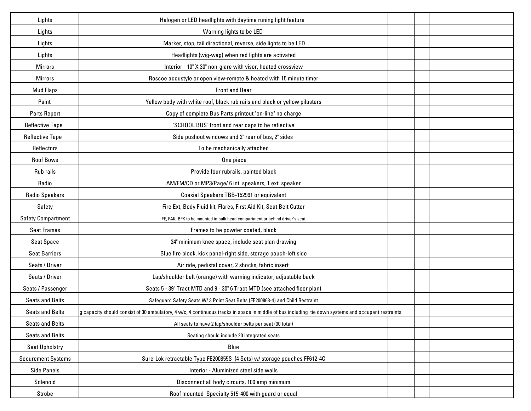| Lights                    | Halogen or LED headlights with daytime runing light feature                                                                                         |  |
|---------------------------|-----------------------------------------------------------------------------------------------------------------------------------------------------|--|
| Lights                    | Warning lights to be LED                                                                                                                            |  |
| Lights                    | Marker, stop, tail directional, reverse, side lights to be LED                                                                                      |  |
| Lights                    | Headlights (wig-wag) when red lights are activated                                                                                                  |  |
| <b>Mirrors</b>            | Interior - 10" X 30" non-glare with visor, heated crossview                                                                                         |  |
| <b>Mirrors</b>            | Roscoe accustyle or open view-remote & heated with 15 minute timer                                                                                  |  |
| <b>Mud Flaps</b>          | <b>Front and Rear</b>                                                                                                                               |  |
| Paint                     | Yellow body with white roof, black rub rails and black or yellow pilasters                                                                          |  |
| Parts Report              | Copy of complete Bus Parts printout "on-line" no charge                                                                                             |  |
| <b>Reflective Tape</b>    | "SCHOOL BUS" front and rear caps to be reflective                                                                                                   |  |
| <b>Reflective Tape</b>    | Side pushout windows and 2" rear of bus, 2" sides                                                                                                   |  |
| Reflectors                | To be mechanically attached                                                                                                                         |  |
| <b>Roof Bows</b>          | One piece                                                                                                                                           |  |
| Rub rails                 | Provide four rubrails, painted black                                                                                                                |  |
| Radio                     | AM/FM/CD or MP3/Page/ 6 int. speakers, 1 ext. speaker                                                                                               |  |
| <b>Radio Speakers</b>     | Coaxial Speakers TBB-152991 or equivalent                                                                                                           |  |
| Safety                    | Fire Ext, Body Fluid kit, Flares, First Aid Kit, Seat Belt Cutter                                                                                   |  |
| <b>Safety Compartment</b> | FE, FAK, BFK to be mounted in bulk head compartment or behind driver's seat                                                                         |  |
| <b>Seat Frames</b>        | Frames to be powder coated, black                                                                                                                   |  |
| <b>Seat Space</b>         | 24" minimum knee space, include seat plan drawing                                                                                                   |  |
| <b>Seat Barriers</b>      | Blue fire block, kick panel-right side, storage pouch-left side                                                                                     |  |
| Seats / Driver            | Air ride, pedistal cover, 2 shocks, fabric insert                                                                                                   |  |
| Seats / Driver            | Lap/shoulder belt (orange) with warning indicator, adjustable back                                                                                  |  |
| Seats / Passenger         | Seats 5 - 39" Tract MTD and 9 - 30" 6 Tract MTD (see attached floor plan)                                                                           |  |
| <b>Seats and Belts</b>    | Safeguard Safety Seats W/3 Point Seat Belts (FE200868-4) and Child Restraint                                                                        |  |
| <b>Seats and Belts</b>    | g capacity should consist of 30 ambulatory, 4 w/c, 4 continuous tracks in space in middle of bus including tie down systems and occupant restraints |  |
| <b>Seats and Belts</b>    | All seats to have 2 lap/shoulder belts per seat (30 total)                                                                                          |  |
| <b>Seats and Belts</b>    | Seating should include 20 integrated seats                                                                                                          |  |
| <b>Seat Upholstry</b>     | Blue                                                                                                                                                |  |
| <b>Securement Systems</b> | Sure-Lok retractable Type FE200855S (4 Sets) w/ storage pouches FF612-4C                                                                            |  |
| <b>Side Panels</b>        | Interior - Aluminized steel side walls                                                                                                              |  |
| Solenoid                  | Disconnect all body circuits, 100 amp minimum                                                                                                       |  |
| Strobe                    | Roof mounted Specialty 515-400 with guard or equal                                                                                                  |  |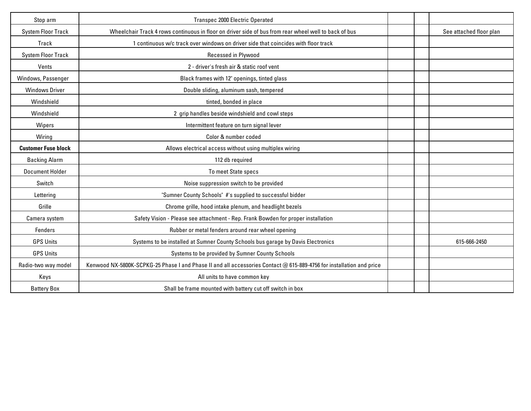| Stop arm                   | Transpec 2000 Electric Operated                                                                                      |  |                         |
|----------------------------|----------------------------------------------------------------------------------------------------------------------|--|-------------------------|
| <b>System Floor Track</b>  | Wheelchair Track 4 rows continuous in floor on driver side of bus from rear wheel well to back of bus                |  | See attached floor plan |
| Track                      | 1 continuous w/c track over windows on driver side that coincides with floor track                                   |  |                         |
| <b>System Floor Track</b>  | Recessed in Plywood                                                                                                  |  |                         |
| Vents                      | 2 - driver's fresh air & static roof vent                                                                            |  |                         |
| Windows, Passenger         | Black frames with 12" openings, tinted glass                                                                         |  |                         |
| <b>Windows Driver</b>      | Double sliding, aluminum sash, tempered                                                                              |  |                         |
| Windshield                 | tinted, bonded in place                                                                                              |  |                         |
| Windshield                 | 2 grip handles beside windshield and cowl steps                                                                      |  |                         |
| Wipers                     | Intermittent feature on turn signal lever                                                                            |  |                         |
| Wiring                     | Color & number coded                                                                                                 |  |                         |
| <b>Customer Fuse block</b> | Allows electrical access without using multiplex wiring                                                              |  |                         |
| <b>Backing Alarm</b>       | 112 db required                                                                                                      |  |                         |
| <b>Document Holder</b>     | To meet State specs                                                                                                  |  |                         |
| Switch                     | Noise suppression switch to be provided                                                                              |  |                         |
| Lettering                  | "Sumner County Schools" #'s supplied to successful bidder                                                            |  |                         |
| Grille                     | Chrome grille, hood intake plenum, and headlight bezels                                                              |  |                         |
| Camera system              | Safety Vision - Please see attachment - Rep. Frank Bowden for proper installation                                    |  |                         |
| Fenders                    | Rubber or metal fenders around rear wheel opening                                                                    |  |                         |
| <b>GPS Units</b>           | Systems to be installed at Sumner County Schools bus garage by Davis Electronics                                     |  | 615-666-2450            |
| <b>GPS Units</b>           | Systems to be provided by Sumner County Schools                                                                      |  |                         |
| Radio-two way model        | Kenwood NX-5800K-SCPKG-25 Phase I and Phase II and all accessories Contact @ 615-889-4756 for installation and price |  |                         |
| Keys                       | All units to have common key                                                                                         |  |                         |
| <b>Battery Box</b>         | Shall be frame mounted with battery cut off switch in box                                                            |  |                         |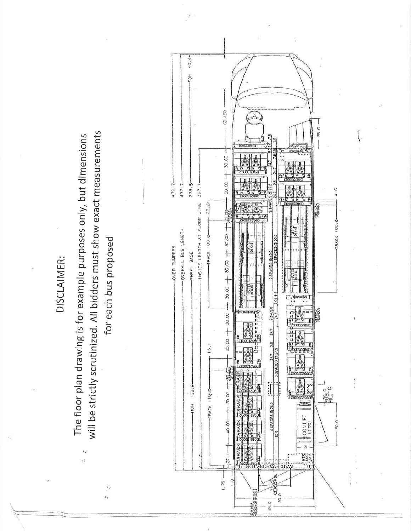DISCLAIMER:

will be strictly scrutinized. All bidders must show exact measurements The floor plan drawing is for example purposes only, but dimensions ï.  $\tilde{\mathcal{W}}$ 



 $\epsilon$ 

ż,